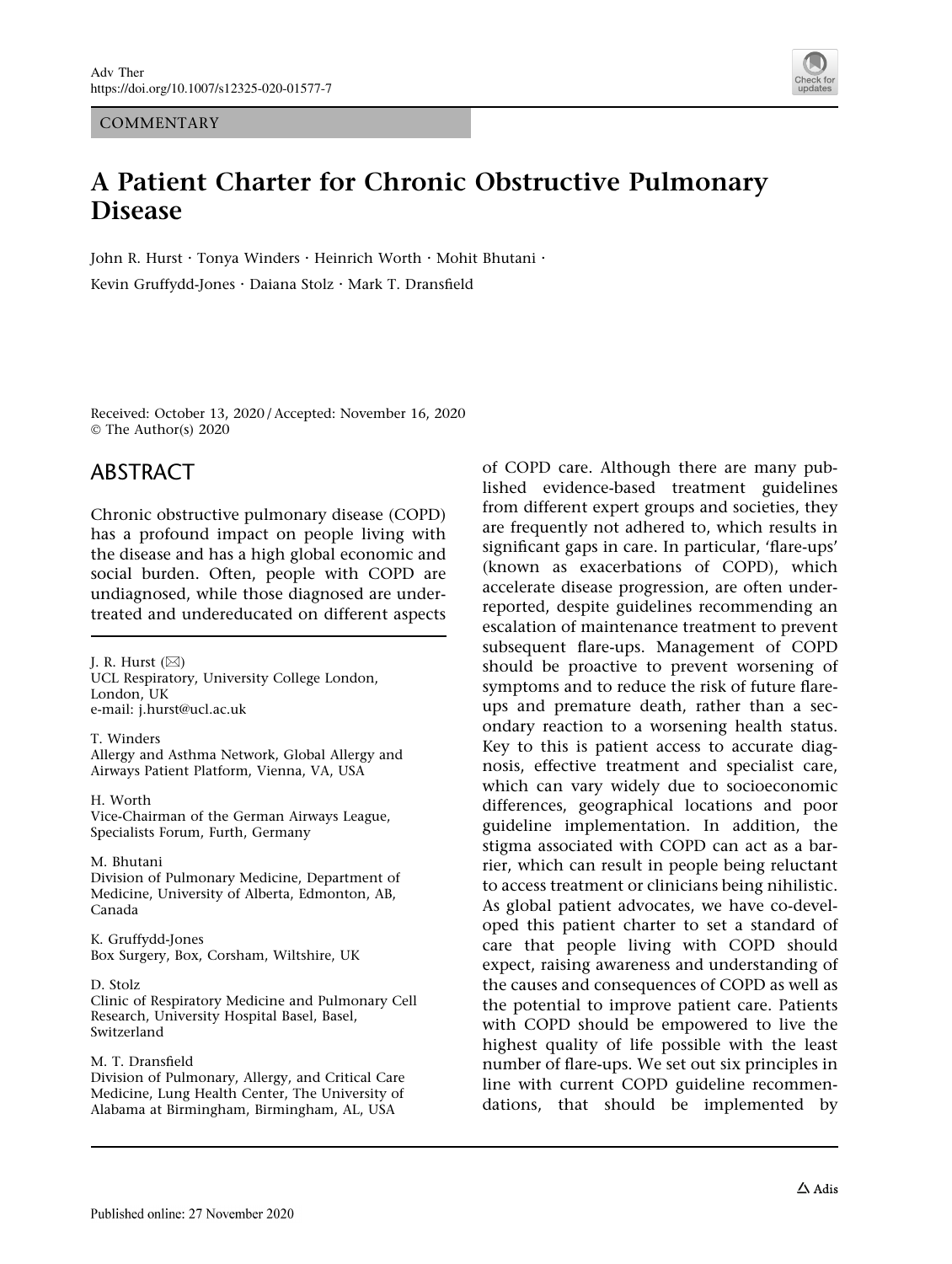#### **COMMENTARY**

# A Patient Charter for Chronic Obstructive Pulmonary Disease

John R. Hurst · Tonya Winders · Heinrich Worth · Mohit Bhutani · Kevin Gruffydd-Jones · Daiana Stolz · Mark T. Dransfield

Received: October 13, 2020 / Accepted: November 16, 2020 © The Author(s) 2020

### ABSTRACT

Chronic obstructive pulmonary disease (COPD) has a profound impact on people living with the disease and has a high global economic and social burden. Often, people with COPD are undiagnosed, while those diagnosed are undertreated and undereducated on different aspects

J. R. Hurst  $(\boxtimes)$ UCL Respiratory, University College London, London, UK e-mail: j.hurst@ucl.ac.uk

T. Winders Allergy and Asthma Network, Global Allergy and Airways Patient Platform, Vienna, VA, USA

H. Worth Vice-Chairman of the German Airways League, Specialists Forum, Furth, Germany

M. Bhutani Division of Pulmonary Medicine, Department of Medicine, University of Alberta, Edmonton, AB, Canada

K. Gruffydd-Jones Box Surgery, Box, Corsham, Wiltshire, UK

D. Stolz

Clinic of Respiratory Medicine and Pulmonary Cell Research, University Hospital Basel, Basel, Switzerland

#### M. T. Dransfield

Division of Pulmonary, Allergy, and Critical Care Medicine, Lung Health Center, The University of Alabama at Birmingham, Birmingham, AL, USA

of COPD care. Although there are many published evidence-based treatment guidelines from different expert groups and societies, they are frequently not adhered to, which results in significant gaps in care. In particular, 'flare-ups' (known as exacerbations of COPD), which accelerate disease progression, are often underreported, despite guidelines recommending an escalation of maintenance treatment to prevent subsequent flare-ups. Management of COPD should be proactive to prevent worsening of symptoms and to reduce the risk of future flareups and premature death, rather than a secondary reaction to a worsening health status. Key to this is patient access to accurate diagnosis, effective treatment and specialist care, which can vary widely due to socioeconomic differences, geographical locations and poor guideline implementation. In addition, the stigma associated with COPD can act as a barrier, which can result in people being reluctant to access treatment or clinicians being nihilistic. As global patient advocates, we have co-developed this patient charter to set a standard of care that people living with COPD should expect, raising awareness and understanding of the causes and consequences of COPD as well as the potential to improve patient care. Patients with COPD should be empowered to live the highest quality of life possible with the least number of flare-ups. We set out six principles in line with current COPD guideline recommendations, that should be implemented by

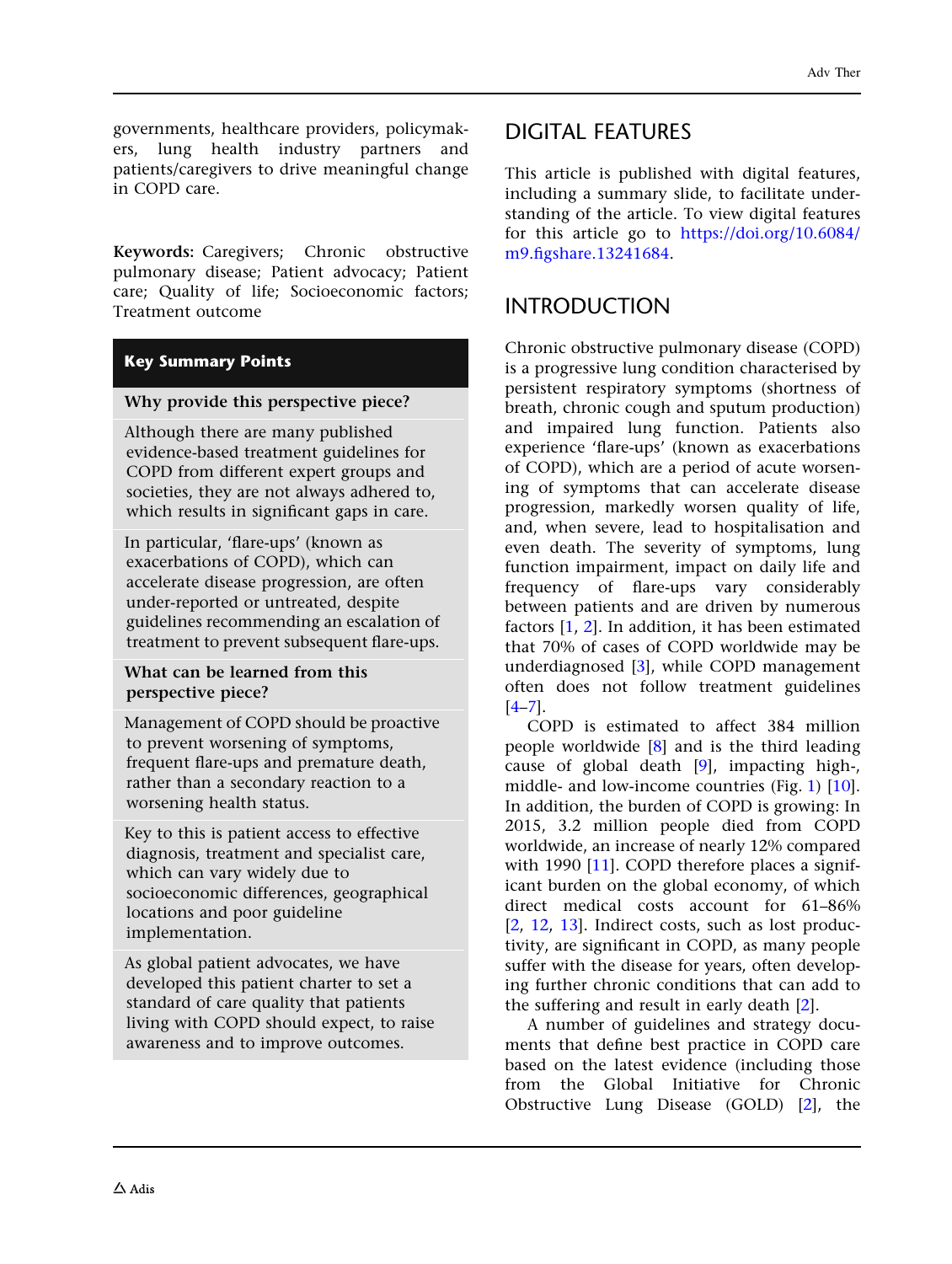governments, healthcare providers, policymakers, lung health industry partners and patients/caregivers to drive meaningful change in COPD care.

Keywords: Caregivers; Chronic obstructive pulmonary disease; Patient advocacy; Patient care; Quality of life; Socioeconomic factors; Treatment outcome

#### Key Summary Points

#### Why provide this perspective piece?

Although there are many published evidence-based treatment guidelines for COPD from different expert groups and societies, they are not always adhered to, which results in significant gaps in care.

In particular, 'flare-ups' (known as exacerbations of COPD), which can accelerate disease progression, are often under-reported or untreated, despite guidelines recommending an escalation of treatment to prevent subsequent flare-ups.

#### What can be learned from this perspective piece?

Management of COPD should be proactive to prevent worsening of symptoms, frequent flare-ups and premature death, rather than a secondary reaction to a worsening health status.

Key to this is patient access to effective diagnosis, treatment and specialist care, which can vary widely due to socioeconomic differences, geographical locations and poor guideline implementation.

As global patient advocates, we have developed this patient charter to set a standard of care quality that patients living with COPD should expect, to raise awareness and to improve outcomes.

# DIGITAL FEATURES

This article is published with digital features, including a summary slide, to facilitate understanding of the article. To view digital features for this article go to [https://doi.org/10.6084/](https://doi.org/10.6084/m9.figshare.13241684) [m9.figshare.13241684](https://doi.org/10.6084/m9.figshare.13241684).

## INTRODUCTION

Chronic obstructive pulmonary disease (COPD) is a progressive lung condition characterised by persistent respiratory symptoms (shortness of breath, chronic cough and sputum production) and impaired lung function. Patients also experience 'flare-ups' (known as exacerbations of COPD), which are a period of acute worsening of symptoms that can accelerate disease progression, markedly worsen quality of life, and, when severe, lead to hospitalisation and even death. The severity of symptoms, lung function impairment, impact on daily life and frequency of flare-ups vary considerably between patients and are driven by numerous factors [\[1](#page-9-0), [2\]](#page-9-0). In addition, it has been estimated that 70% of cases of COPD worldwide may be underdiagnosed [\[3\]](#page-9-0), while COPD management often does not follow treatment guidelines [\[4–7\]](#page-9-0).

COPD is estimated to affect 384 million people worldwide [[8](#page-9-0)] and is the third leading cause of global death [\[9\]](#page-9-0), impacting high-, middle- and low-income countries (Fig. [1\)](#page-2-0) [[10](#page-9-0)]. In addition, the burden of COPD is growing: In 2015, 3.2 million people died from COPD worldwide, an increase of nearly 12% compared with 1990 [\[11\]](#page-9-0). COPD therefore places a significant burden on the global economy, of which direct medical costs account for 61–86%  $[2, 12, 13]$  $[2, 12, 13]$  $[2, 12, 13]$  $[2, 12, 13]$  $[2, 12, 13]$ . Indirect costs, such as lost productivity, are significant in COPD, as many people suffer with the disease for years, often developing further chronic conditions that can add to the suffering and result in early death [\[2\]](#page-9-0).

A number of guidelines and strategy documents that define best practice in COPD care based on the latest evidence (including those from the Global Initiative for Chronic Obstructive Lung Disease (GOLD) [[2](#page-9-0)], the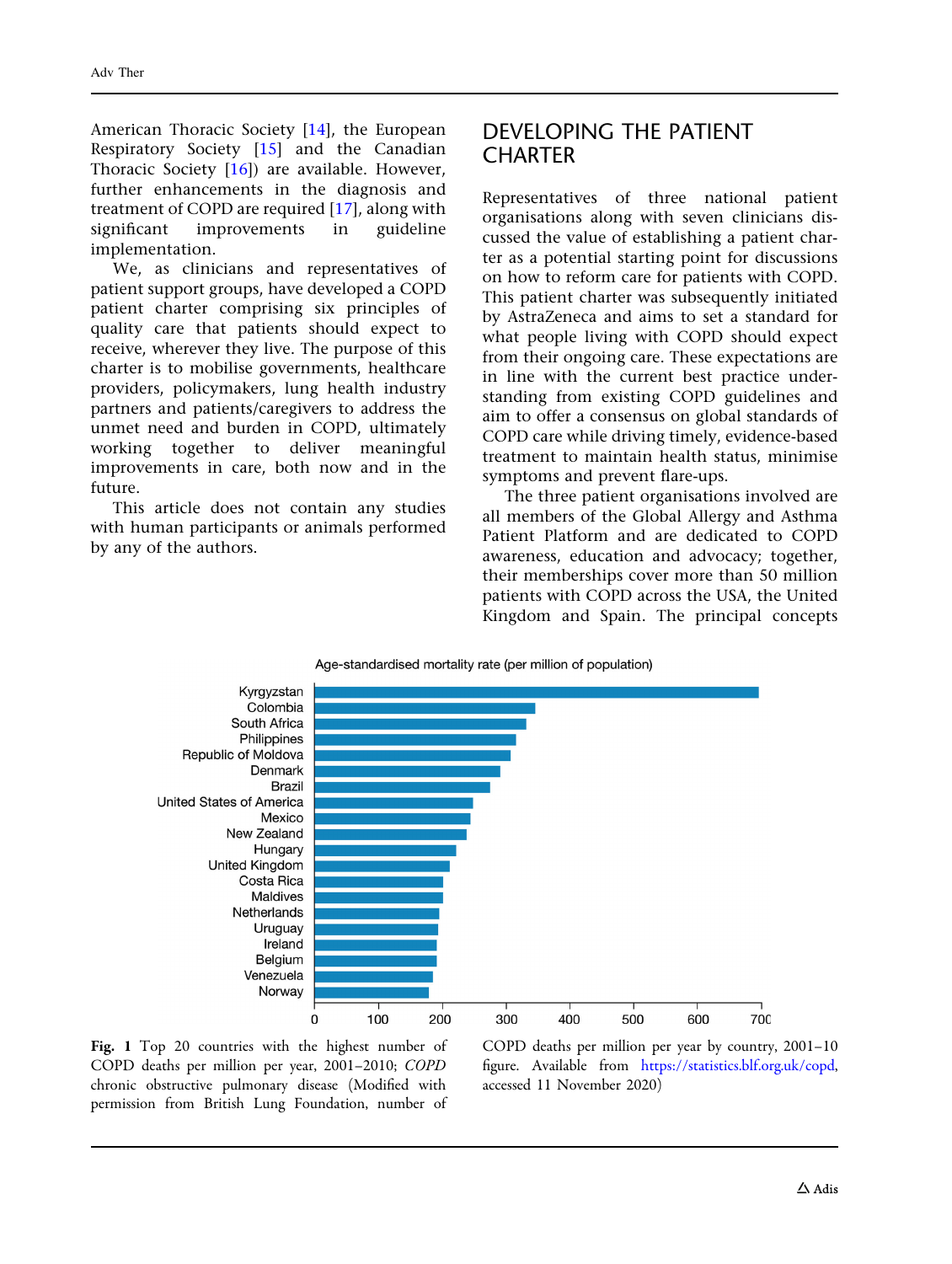<span id="page-2-0"></span>American Thoracic Society [[14\]](#page-10-0), the European Respiratory Society [\[15](#page-10-0)] and the Canadian Thoracic Society [[16](#page-10-0)]) are available. However, further enhancements in the diagnosis and treatment of COPD are required [\[17\]](#page-10-0), along with significant improvements in guideline implementation.

We, as clinicians and representatives of patient support groups, have developed a COPD patient charter comprising six principles of quality care that patients should expect to receive, wherever they live. The purpose of this charter is to mobilise governments, healthcare providers, policymakers, lung health industry partners and patients/caregivers to address the unmet need and burden in COPD, ultimately working together to deliver meaningful improvements in care, both now and in the future.

This article does not contain any studies with human participants or animals performed by any of the authors.

## DEVELOPING THE PATIENT **CHARTER**

Representatives of three national patient organisations along with seven clinicians discussed the value of establishing a patient charter as a potential starting point for discussions on how to reform care for patients with COPD. This patient charter was subsequently initiated by AstraZeneca and aims to set a standard for what people living with COPD should expect from their ongoing care. These expectations are in line with the current best practice understanding from existing COPD guidelines and aim to offer a consensus on global standards of COPD care while driving timely, evidence-based treatment to maintain health status, minimise symptoms and prevent flare-ups.

The three patient organisations involved are all members of the Global Allergy and Asthma Patient Platform and are dedicated to COPD awareness, education and advocacy; together, their memberships cover more than 50 million patients with COPD across the USA, the United Kingdom and Spain. The principal concepts





Fig. 1 Top 20 countries with the highest number of COPD deaths per million per year, 2001–2010; COPD chronic obstructive pulmonary disease (Modified with permission from British Lung Foundation, number of

COPD deaths per million per year by country, 2001–10 figure. Available from <https://statistics.blf.org.uk/copd>, accessed 11 November 2020)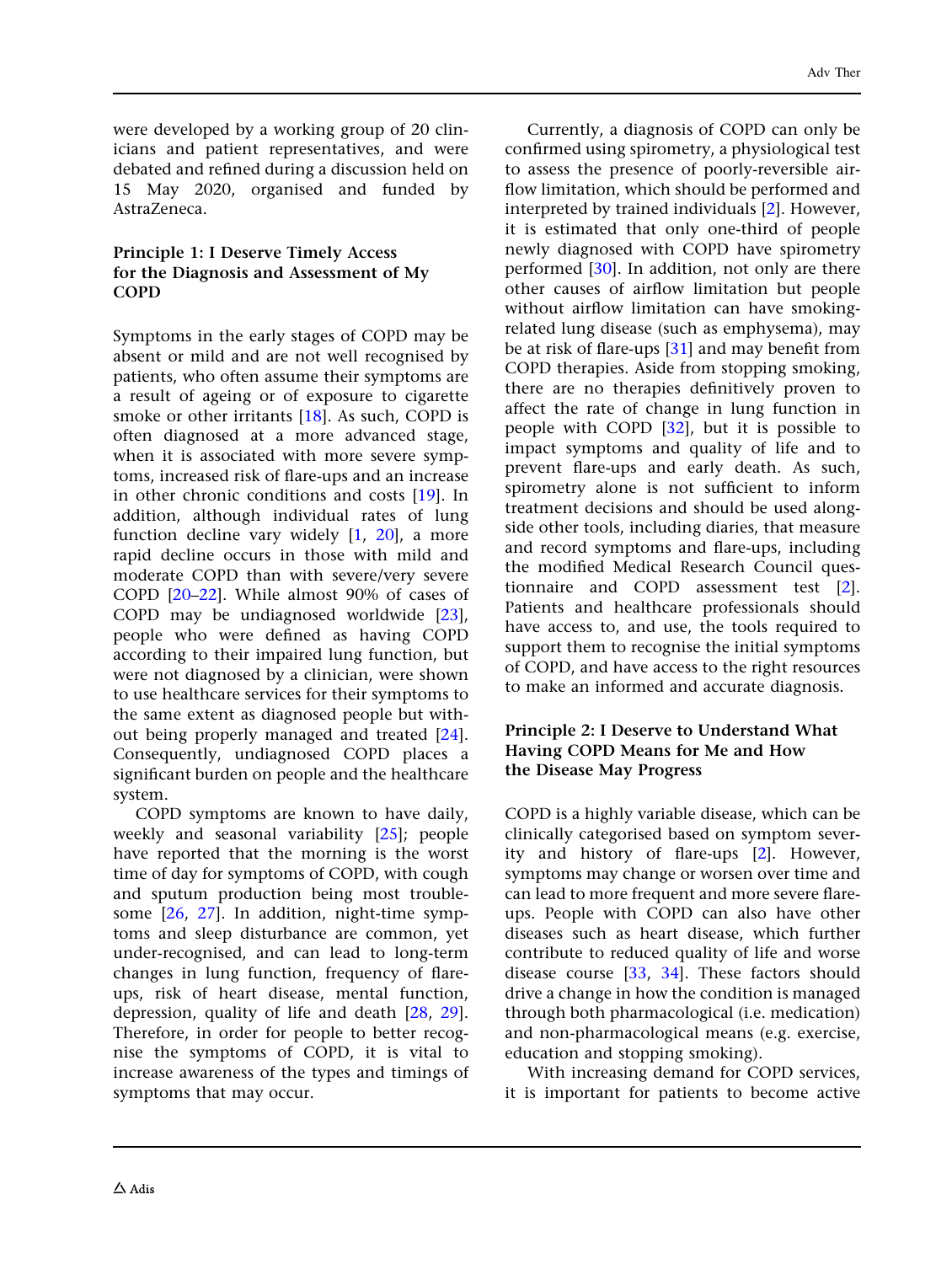were developed by a working group of 20 clinicians and patient representatives, and were debated and refined during a discussion held on 15 May 2020, organised and funded by AstraZeneca.

### Principle 1: I Deserve Timely Access for the Diagnosis and Assessment of My COPD

Symptoms in the early stages of COPD may be absent or mild and are not well recognised by patients, who often assume their symptoms are a result of ageing or of exposure to cigarette smoke or other irritants [\[18\]](#page-10-0). As such, COPD is often diagnosed at a more advanced stage, when it is associated with more severe symptoms, increased risk of flare-ups and an increase in other chronic conditions and costs [\[19\]](#page-10-0). In addition, although individual rates of lung function decline vary widely [\[1,](#page-9-0) [20\]](#page-10-0), a more rapid decline occurs in those with mild and moderate COPD than with severe/very severe COPD [\[20–22\]](#page-10-0). While almost 90% of cases of COPD may be undiagnosed worldwide [[23](#page-10-0)], people who were defined as having COPD according to their impaired lung function, but were not diagnosed by a clinician, were shown to use healthcare services for their symptoms to the same extent as diagnosed people but without being properly managed and treated [[24](#page-10-0)]. Consequently, undiagnosed COPD places a significant burden on people and the healthcare system.

COPD symptoms are known to have daily, weekly and seasonal variability [[25](#page-10-0)]; people have reported that the morning is the worst time of day for symptoms of COPD, with cough and sputum production being most troublesome [[26](#page-10-0), [27\]](#page-10-0). In addition, night-time symptoms and sleep disturbance are common, yet under-recognised, and can lead to long-term changes in lung function, frequency of flareups, risk of heart disease, mental function, depression, quality of life and death [[28,](#page-10-0) [29](#page-10-0)]. Therefore, in order for people to better recognise the symptoms of COPD, it is vital to increase awareness of the types and timings of symptoms that may occur.

Currently, a diagnosis of COPD can only be confirmed using spirometry, a physiological test to assess the presence of poorly-reversible airflow limitation, which should be performed and interpreted by trained individuals [[2](#page-9-0)]. However, it is estimated that only one-third of people newly diagnosed with COPD have spirometry performed [[30\]](#page-10-0). In addition, not only are there other causes of airflow limitation but people without airflow limitation can have smokingrelated lung disease (such as emphysema), may be at risk of flare-ups [\[31\]](#page-10-0) and may benefit from COPD therapies. Aside from stopping smoking, there are no therapies definitively proven to affect the rate of change in lung function in people with COPD [\[32\]](#page-10-0), but it is possible to impact symptoms and quality of life and to prevent flare-ups and early death. As such, spirometry alone is not sufficient to inform treatment decisions and should be used alongside other tools, including diaries, that measure and record symptoms and flare-ups, including the modified Medical Research Council questionnaire and COPD assessment test [[2](#page-9-0)]. Patients and healthcare professionals should have access to, and use, the tools required to support them to recognise the initial symptoms of COPD, and have access to the right resources to make an informed and accurate diagnosis.

### Principle 2: I Deserve to Understand What Having COPD Means for Me and How the Disease May Progress

COPD is a highly variable disease, which can be clinically categorised based on symptom severity and history of flare-ups [[2\]](#page-9-0). However, symptoms may change or worsen over time and can lead to more frequent and more severe flareups. People with COPD can also have other diseases such as heart disease, which further contribute to reduced quality of life and worse disease course  $[33, 34]$  $[33, 34]$  $[33, 34]$  $[33, 34]$ . These factors should drive a change in how the condition is managed through both pharmacological (i.e. medication) and non-pharmacological means (e.g. exercise, education and stopping smoking).

With increasing demand for COPD services, it is important for patients to become active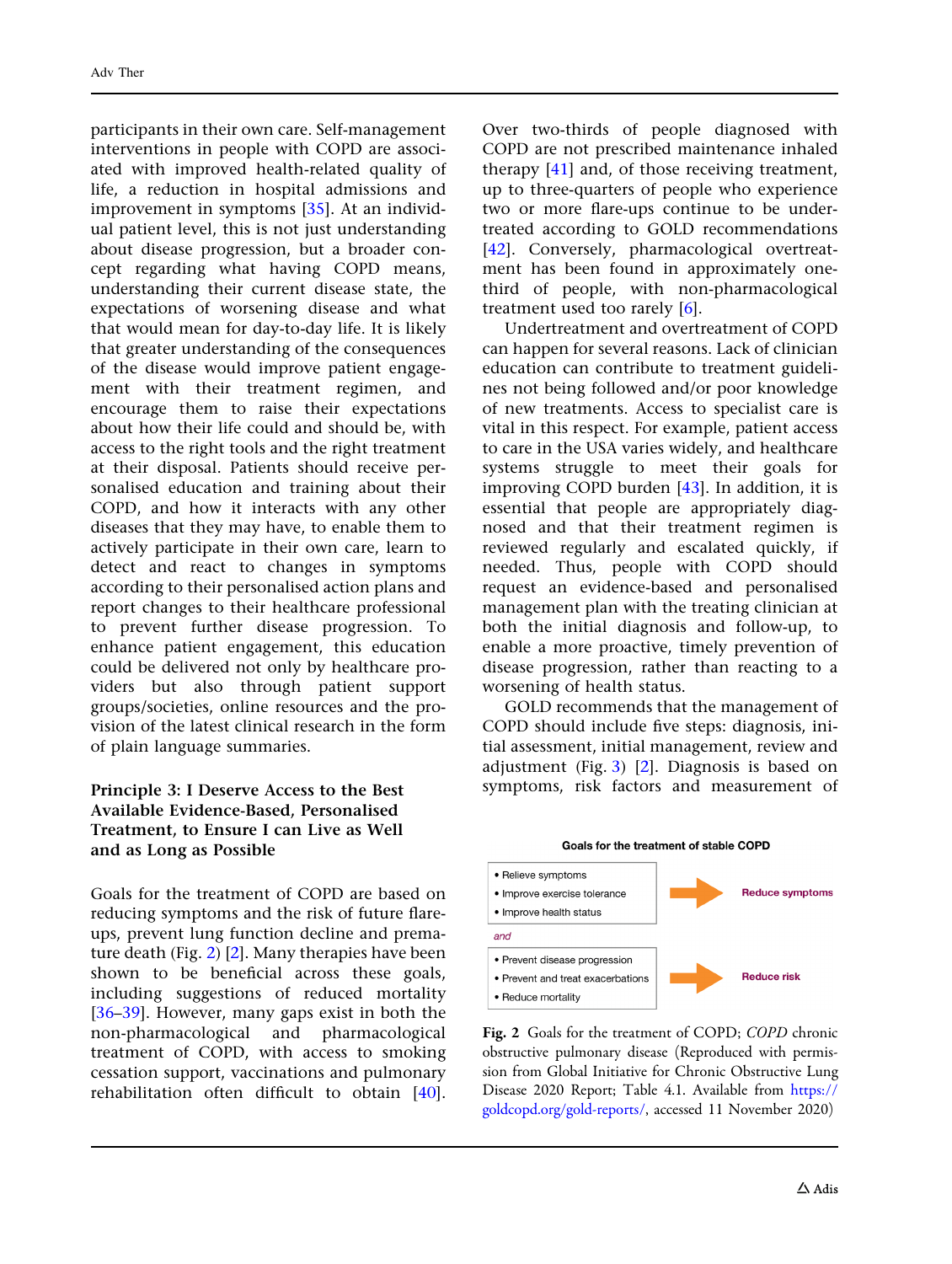participants in their own care. Self-management interventions in people with COPD are associated with improved health-related quality of life, a reduction in hospital admissions and improvement in symptoms [[35](#page-10-0)]. At an individual patient level, this is not just understanding about disease progression, but a broader concept regarding what having COPD means, understanding their current disease state, the expectations of worsening disease and what that would mean for day-to-day life. It is likely that greater understanding of the consequences of the disease would improve patient engagement with their treatment regimen, and encourage them to raise their expectations about how their life could and should be, with access to the right tools and the right treatment at their disposal. Patients should receive personalised education and training about their COPD, and how it interacts with any other diseases that they may have, to enable them to actively participate in their own care, learn to detect and react to changes in symptoms according to their personalised action plans and report changes to their healthcare professional to prevent further disease progression. To enhance patient engagement, this education could be delivered not only by healthcare providers but also through patient support groups/societies, online resources and the provision of the latest clinical research in the form of plain language summaries.

#### Principle 3: I Deserve Access to the Best Available Evidence-Based, Personalised Treatment, to Ensure I can Live as Well and as Long as Possible

Goals for the treatment of COPD are based on reducing symptoms and the risk of future flareups, prevent lung function decline and premature death (Fig. 2) [\[2\]](#page-9-0). Many therapies have been shown to be beneficial across these goals, including suggestions of reduced mortality [\[36](#page-10-0)[–39\]](#page-11-0). However, many gaps exist in both the non-pharmacological and pharmacological treatment of COPD, with access to smoking cessation support, vaccinations and pulmonary rehabilitation often difficult to obtain [[40\]](#page-11-0).

Over two-thirds of people diagnosed with COPD are not prescribed maintenance inhaled therapy [[41](#page-11-0)] and, of those receiving treatment, up to three-quarters of people who experience two or more flare-ups continue to be undertreated according to GOLD recommendations [\[42\]](#page-11-0). Conversely, pharmacological overtreatment has been found in approximately onethird of people, with non-pharmacological treatment used too rarely [[6\]](#page-9-0).

Undertreatment and overtreatment of COPD can happen for several reasons. Lack of clinician education can contribute to treatment guidelines not being followed and/or poor knowledge of new treatments. Access to specialist care is vital in this respect. For example, patient access to care in the USA varies widely, and healthcare systems struggle to meet their goals for improving COPD burden [[43](#page-11-0)]. In addition, it is essential that people are appropriately diagnosed and that their treatment regimen is reviewed regularly and escalated quickly, if needed. Thus, people with COPD should request an evidence-based and personalised management plan with the treating clinician at both the initial diagnosis and follow-up, to enable a more proactive, timely prevention of disease progression, rather than reacting to a worsening of health status.

GOLD recommends that the management of COPD should include five steps: diagnosis, initial assessment, initial management, review and adjustment (Fig. [3](#page-5-0))  $[2]$  $[2]$  $[2]$ . Diagnosis is based on symptoms, risk factors and measurement of



Goals for the treatment of stable COPD

Fig. 2 Goals for the treatment of COPD; COPD chronic obstructive pulmonary disease (Reproduced with permission from Global Initiative for Chronic Obstructive Lung Disease 2020 Report; Table 4.1. Available from [https://](https://goldcopd.org/gold-reports/) [goldcopd.org/gold-reports/,](https://goldcopd.org/gold-reports/) accessed 11 November 2020)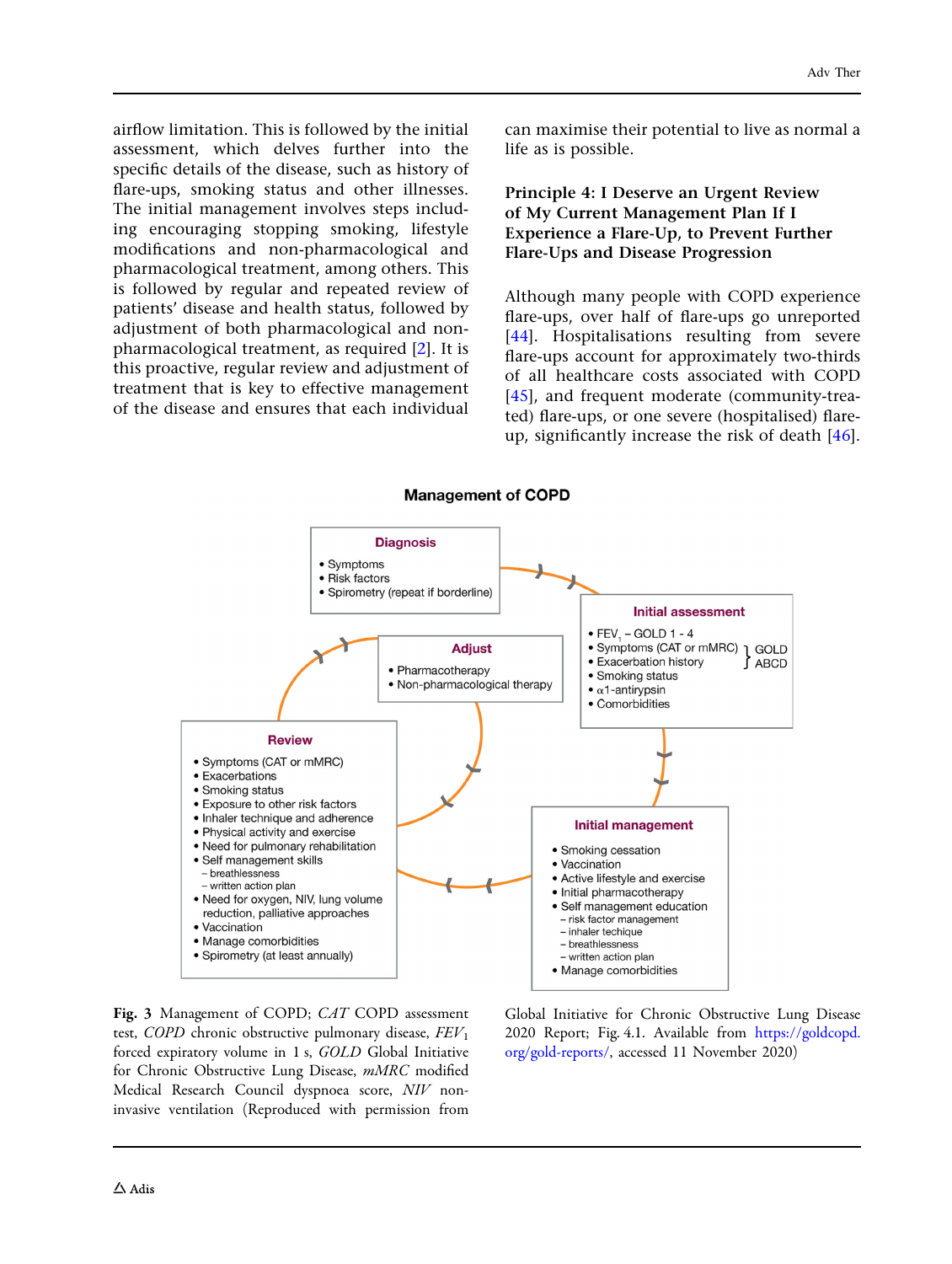<span id="page-5-0"></span>airflow limitation. This is followed by the initial assessment, which delves further into the specific details of the disease, such as history of flare-ups, smoking status and other illnesses. The initial management involves steps including encouraging stopping smoking, lifestyle modifications and non-pharmacological and pharmacological treatment, among others. This is followed by regular and repeated review of patients' disease and health status, followed by adjustment of both pharmacological and nonpharmacological treatment, as required [[2\]](#page-9-0). It is this proactive, regular review and adjustment of treatment that is key to effective management of the disease and ensures that each individual

can maximise their potential to live as normal a life as is possible.

#### Principle 4: I Deserve an Urgent Review of My Current Management Plan If I Experience a Flare-Up, to Prevent Further Flare-Ups and Disease Progression

Although many people with COPD experience flare-ups, over half of flare-ups go unreported [\[44\]](#page-11-0). Hospitalisations resulting from severe flare-ups account for approximately two-thirds of all healthcare costs associated with COPD [\[45\]](#page-11-0), and frequent moderate (community-treated) flare-ups, or one severe (hospitalised) flareup, significantly increase the risk of death [[46](#page-11-0)].



Fig. 3 Management of COPD; CAT COPD assessment test, COPD chronic obstructive pulmonary disease,  $FEV<sub>1</sub>$ forced expiratory volume in 1 s, GOLD Global Initiative for Chronic Obstructive Lung Disease, mMRC modified Medical Research Council dyspnoea score, NIV noninvasive ventilation (Reproduced with permission from

Global Initiative for Chronic Obstructive Lung Disease 2020 Report; Fig. 4.1. Available from [https://goldcopd.](https://goldcopd.org/gold-reports/) [org/gold-reports/,](https://goldcopd.org/gold-reports/) accessed 11 November 2020)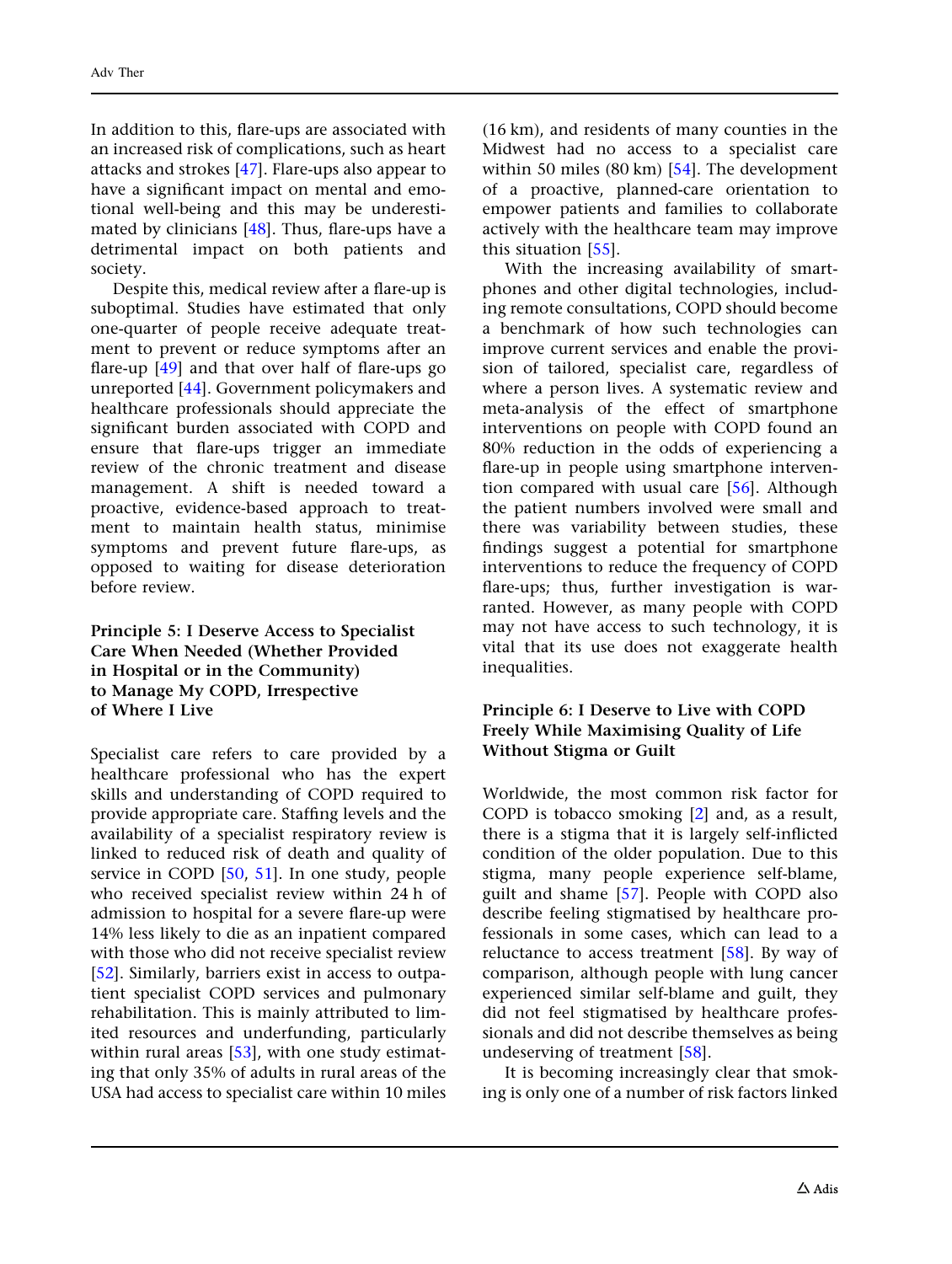In addition to this, flare-ups are associated with an increased risk of complications, such as heart attacks and strokes [\[47](#page-11-0)]. Flare-ups also appear to have a significant impact on mental and emotional well-being and this may be underestimated by clinicians [\[48\]](#page-11-0). Thus, flare-ups have a detrimental impact on both patients and society.

Despite this, medical review after a flare-up is suboptimal. Studies have estimated that only one-quarter of people receive adequate treatment to prevent or reduce symptoms after an flare-up [[49](#page-11-0)] and that over half of flare-ups go unreported [[44](#page-11-0)]. Government policymakers and healthcare professionals should appreciate the significant burden associated with COPD and ensure that flare-ups trigger an immediate review of the chronic treatment and disease management. A shift is needed toward a proactive, evidence-based approach to treatment to maintain health status, minimise symptoms and prevent future flare-ups, as opposed to waiting for disease deterioration before review.

### Principle 5: I Deserve Access to Specialist Care When Needed (Whether Provided in Hospital or in the Community) to Manage My COPD, Irrespective of Where I Live

Specialist care refers to care provided by a healthcare professional who has the expert skills and understanding of COPD required to provide appropriate care. Staffing levels and the availability of a specialist respiratory review is linked to reduced risk of death and quality of service in COPD [\[50,](#page-11-0) [51\]](#page-11-0). In one study, people who received specialist review within 24 h of admission to hospital for a severe flare-up were 14% less likely to die as an inpatient compared with those who did not receive specialist review [\[52](#page-11-0)]. Similarly, barriers exist in access to outpatient specialist COPD services and pulmonary rehabilitation. This is mainly attributed to limited resources and underfunding, particularly within rural areas [\[53\]](#page-11-0), with one study estimating that only 35% of adults in rural areas of the USA had access to specialist care within 10 miles

(16 km), and residents of many counties in the Midwest had no access to a specialist care within 50 miles (80 km) [\[54\]](#page-11-0). The development of a proactive, planned-care orientation to empower patients and families to collaborate actively with the healthcare team may improve this situation [[55](#page-11-0)].

With the increasing availability of smartphones and other digital technologies, including remote consultations, COPD should become a benchmark of how such technologies can improve current services and enable the provision of tailored, specialist care, regardless of where a person lives. A systematic review and meta-analysis of the effect of smartphone interventions on people with COPD found an 80% reduction in the odds of experiencing a flare-up in people using smartphone intervention compared with usual care [[56](#page-11-0)]. Although the patient numbers involved were small and there was variability between studies, these findings suggest a potential for smartphone interventions to reduce the frequency of COPD flare-ups; thus, further investigation is warranted. However, as many people with COPD may not have access to such technology, it is vital that its use does not exaggerate health inequalities.

#### Principle 6: I Deserve to Live with COPD Freely While Maximising Quality of Life Without Stigma or Guilt

Worldwide, the most common risk factor for COPD is tobacco smoking [[2](#page-9-0)] and, as a result, there is a stigma that it is largely self-inflicted condition of the older population. Due to this stigma, many people experience self-blame, guilt and shame [[57](#page-11-0)]. People with COPD also describe feeling stigmatised by healthcare professionals in some cases, which can lead to a reluctance to access treatment [\[58\]](#page-11-0). By way of comparison, although people with lung cancer experienced similar self-blame and guilt, they did not feel stigmatised by healthcare professionals and did not describe themselves as being undeserving of treatment [[58](#page-11-0)].

It is becoming increasingly clear that smoking is only one of a number of risk factors linked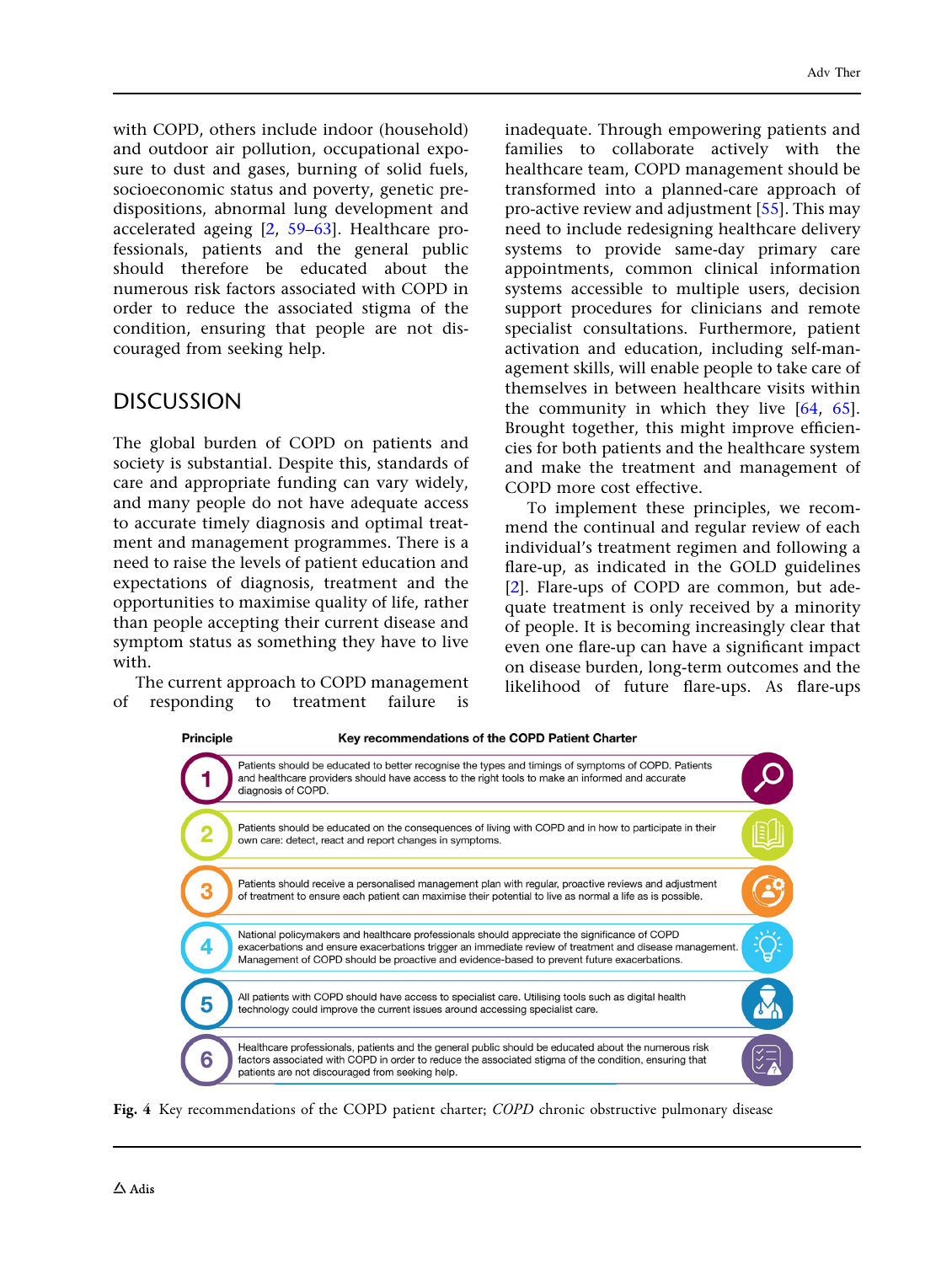<span id="page-7-0"></span>with COPD, others include indoor (household) and outdoor air pollution, occupational exposure to dust and gases, burning of solid fuels, socioeconomic status and poverty, genetic predispositions, abnormal lung development and accelerated ageing [\[2](#page-9-0), [59](#page-11-0)[–63\]](#page-12-0). Healthcare professionals, patients and the general public should therefore be educated about the numerous risk factors associated with COPD in order to reduce the associated stigma of the condition, ensuring that people are not discouraged from seeking help.

### DISCUSSION

The global burden of COPD on patients and society is substantial. Despite this, standards of care and appropriate funding can vary widely, and many people do not have adequate access to accurate timely diagnosis and optimal treatment and management programmes. There is a need to raise the levels of patient education and expectations of diagnosis, treatment and the opportunities to maximise quality of life, rather than people accepting their current disease and symptom status as something they have to live with.

The current approach to COPD management of responding to treatment failure

inadequate. Through empowering patients and families to collaborate actively with the healthcare team, COPD management should be transformed into a planned-care approach of pro-active review and adjustment [\[55\]](#page-11-0). This may need to include redesigning healthcare delivery systems to provide same-day primary care appointments, common clinical information systems accessible to multiple users, decision support procedures for clinicians and remote specialist consultations. Furthermore, patient activation and education, including self-management skills, will enable people to take care of themselves in between healthcare visits within the community in which they live [[64](#page-12-0), [65](#page-12-0)]. Brought together, this might improve efficiencies for both patients and the healthcare system and make the treatment and management of COPD more cost effective.

To implement these principles, we recommend the continual and regular review of each individual's treatment regimen and following a flare-up, as indicated in the GOLD guidelines [\[2](#page-9-0)]. Flare-ups of COPD are common, but adequate treatment is only received by a minority of people. It is becoming increasingly clear that even one flare-up can have a significant impact on disease burden, long-term outcomes and the likelihood of future flare-ups. As flare-ups



Fig. 4 Key recommendations of the COPD patient charter; COPD chronic obstructive pulmonary disease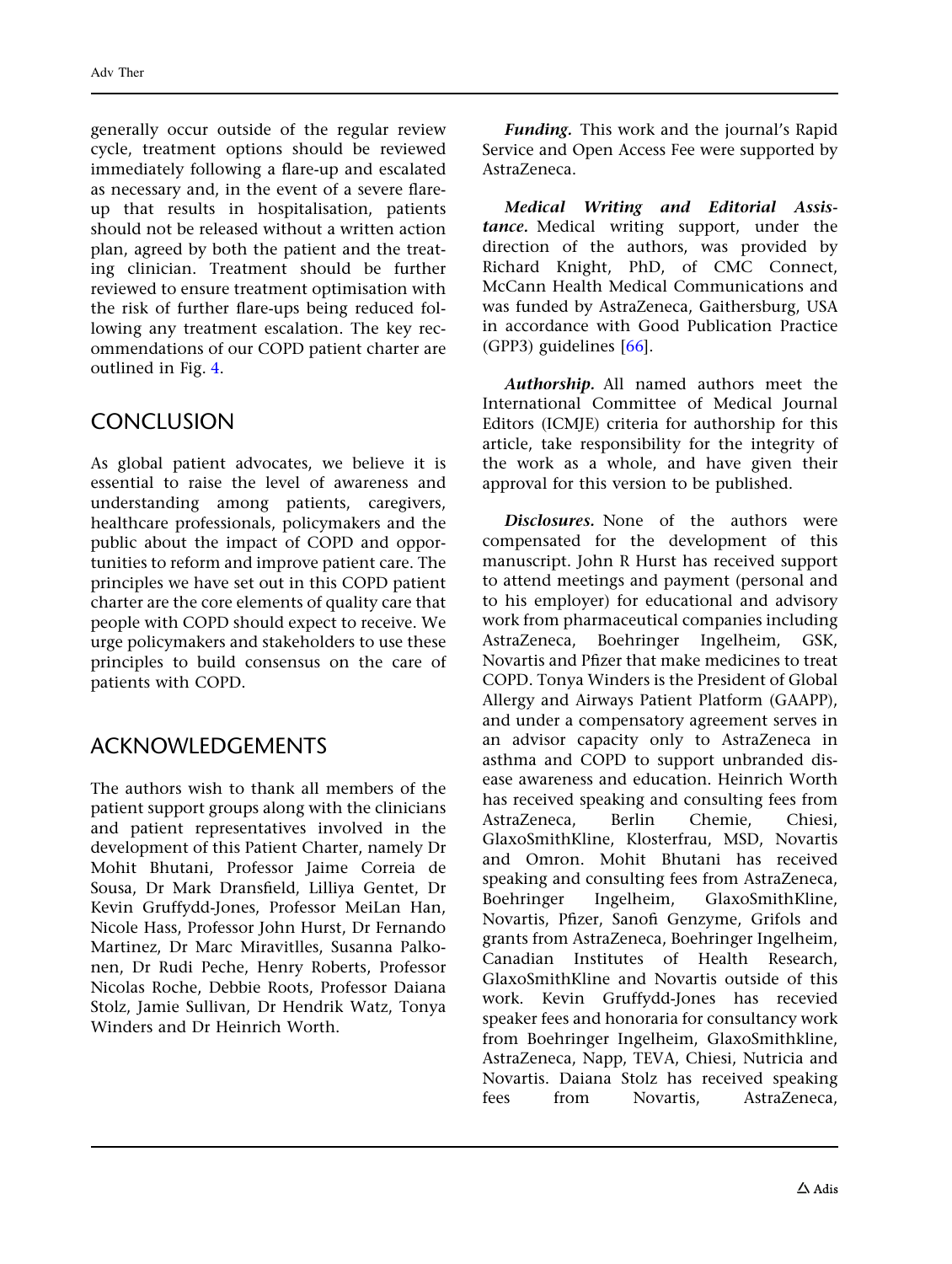generally occur outside of the regular review cycle, treatment options should be reviewed immediately following a flare-up and escalated as necessary and, in the event of a severe flareup that results in hospitalisation, patients should not be released without a written action plan, agreed by both the patient and the treating clinician. Treatment should be further reviewed to ensure treatment optimisation with the risk of further flare-ups being reduced following any treatment escalation. The key recommendations of our COPD patient charter are outlined in Fig. [4](#page-7-0).

### **CONCLUSION**

As global patient advocates, we believe it is essential to raise the level of awareness and understanding among patients, caregivers, healthcare professionals, policymakers and the public about the impact of COPD and opportunities to reform and improve patient care. The principles we have set out in this COPD patient charter are the core elements of quality care that people with COPD should expect to receive. We urge policymakers and stakeholders to use these principles to build consensus on the care of patients with COPD.

## ACKNOWLEDGEMENTS

The authors wish to thank all members of the patient support groups along with the clinicians and patient representatives involved in the development of this Patient Charter, namely Dr Mohit Bhutani, Professor Jaime Correia de Sousa, Dr Mark Dransfield, Lilliya Gentet, Dr Kevin Gruffydd-Jones, Professor MeiLan Han, Nicole Hass, Professor John Hurst, Dr Fernando Martinez, Dr Marc Miravitlles, Susanna Palkonen, Dr Rudi Peche, Henry Roberts, Professor Nicolas Roche, Debbie Roots, Professor Daiana Stolz, Jamie Sullivan, Dr Hendrik Watz, Tonya Winders and Dr Heinrich Worth.

Funding. This work and the journal's Rapid Service and Open Access Fee were supported by AstraZeneca.

Medical Writing and Editorial Assistance. Medical writing support, under the direction of the authors, was provided by Richard Knight, PhD, of CMC Connect, McCann Health Medical Communications and was funded by AstraZeneca, Gaithersburg, USA in accordance with Good Publication Practice (GPP3) guidelines [[66\]](#page-12-0).

Authorship. All named authors meet the International Committee of Medical Journal Editors (ICMJE) criteria for authorship for this article, take responsibility for the integrity of the work as a whole, and have given their approval for this version to be published.

Disclosures. None of the authors were compensated for the development of this manuscript. John R Hurst has received support to attend meetings and payment (personal and to his employer) for educational and advisory work from pharmaceutical companies including AstraZeneca, Boehringer Ingelheim, GSK, Novartis and Pfizer that make medicines to treat COPD. Tonya Winders is the President of Global Allergy and Airways Patient Platform (GAAPP), and under a compensatory agreement serves in an advisor capacity only to AstraZeneca in asthma and COPD to support unbranded disease awareness and education. Heinrich Worth has received speaking and consulting fees from AstraZeneca, Berlin Chemie, Chiesi, GlaxoSmithKline, Klosterfrau, MSD, Novartis and Omron. Mohit Bhutani has received speaking and consulting fees from AstraZeneca, Boehringer Ingelheim, GlaxoSmithKline, Novartis, Pfizer, Sanofi Genzyme, Grifols and grants from AstraZeneca, Boehringer Ingelheim, Canadian Institutes of Health Research, GlaxoSmithKline and Novartis outside of this work. Kevin Gruffydd-Jones has recevied speaker fees and honoraria for consultancy work from Boehringer Ingelheim, GlaxoSmithkline, AstraZeneca, Napp, TEVA, Chiesi, Nutricia and Novartis. Daiana Stolz has received speaking fees from Novartis, AstraZeneca,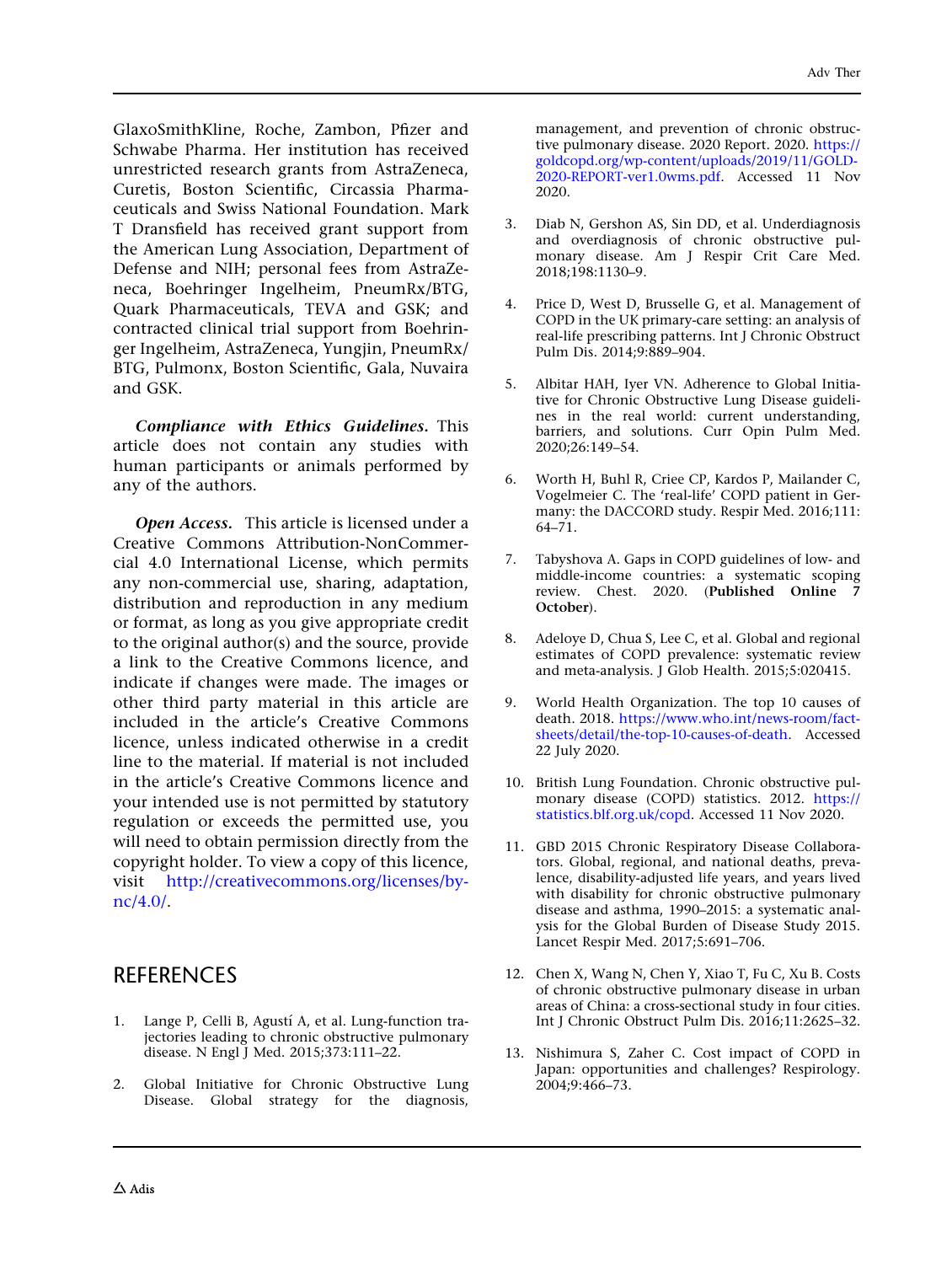<span id="page-9-0"></span>GlaxoSmithKline, Roche, Zambon, Pfizer and Schwabe Pharma. Her institution has received unrestricted research grants from AstraZeneca, Curetis, Boston Scientific, Circassia Pharmaceuticals and Swiss National Foundation. Mark T Dransfield has received grant support from the American Lung Association, Department of Defense and NIH; personal fees from AstraZeneca, Boehringer Ingelheim, PneumRx/BTG, Quark Pharmaceuticals, TEVA and GSK; and contracted clinical trial support from Boehringer Ingelheim, AstraZeneca, Yungjin, PneumRx/ BTG, Pulmonx, Boston Scientific, Gala, Nuvaira and GSK.

Compliance with Ethics Guidelines. This article does not contain any studies with human participants or animals performed by any of the authors.

Open Access. This article is licensed under a Creative Commons Attribution-NonCommercial 4.0 International License, which permits any non-commercial use, sharing, adaptation, distribution and reproduction in any medium or format, as long as you give appropriate credit to the original author(s) and the source, provide a link to the Creative Commons licence, and indicate if changes were made. The images or other third party material in this article are included in the article's Creative Commons licence, unless indicated otherwise in a credit line to the material. If material is not included in the article's Creative Commons licence and your intended use is not permitted by statutory regulation or exceeds the permitted use, you will need to obtain permission directly from the copyright holder. To view a copy of this licence, visit [http://creativecommons.org/licenses/by](http://creativecommons.org/licenses/by-nc/4.0/)[nc/4.0/](http://creativecommons.org/licenses/by-nc/4.0/).

## REFERENCES

- 1. Lange P, Celli B, Agustí A, et al. Lung-function trajectories leading to chronic obstructive pulmonary disease. N Engl J Med. 2015;373:111–22.
- 2. Global Initiative for Chronic Obstructive Lung Disease. Global strategy for the diagnosis,

management, and prevention of chronic obstructive pulmonary disease. 2020 Report. 2020. [https://](https://goldcopd.org/wp-content/uploads/2019/11/GOLD-2020-REPORT-ver1.0wms.pdf) [goldcopd.org/wp-content/uploads/2019/11/GOLD-](https://goldcopd.org/wp-content/uploads/2019/11/GOLD-2020-REPORT-ver1.0wms.pdf)[2020-REPORT-ver1.0wms.pdf.](https://goldcopd.org/wp-content/uploads/2019/11/GOLD-2020-REPORT-ver1.0wms.pdf) Accessed 11 Nov 2020.

- 3. Diab N, Gershon AS, Sin DD, et al. Underdiagnosis and overdiagnosis of chronic obstructive pulmonary disease. Am J Respir Crit Care Med. 2018;198:1130–9.
- 4. Price D, West D, Brusselle G, et al. Management of COPD in the UK primary-care setting: an analysis of real-life prescribing patterns. Int J Chronic Obstruct Pulm Dis. 2014;9:889–904.
- 5. Albitar HAH, Iyer VN. Adherence to Global Initiative for Chronic Obstructive Lung Disease guidelines in the real world: current understanding, barriers, and solutions. Curr Opin Pulm Med. 2020;26:149–54.
- 6. Worth H, Buhl R, Criee CP, Kardos P, Mailander C, Vogelmeier C. The 'real-life' COPD patient in Germany: the DACCORD study. Respir Med. 2016;111: 64–71.
- 7. Tabyshova A. Gaps in COPD guidelines of low- and middle-income countries: a systematic scoping review. Chest. 2020. (Published Online 7 October).
- 8. Adeloye D, Chua S, Lee C, et al. Global and regional estimates of COPD prevalence: systematic review and meta-analysis. J Glob Health. 2015;5:020415.
- 9. World Health Organization. The top 10 causes of death. 2018. [https://www.who.int/news-room/fact](https://www.who.int/news-room/fact-sheets/detail/the-top-10-causes-of-death)[sheets/detail/the-top-10-causes-of-death](https://www.who.int/news-room/fact-sheets/detail/the-top-10-causes-of-death). Accessed 22 July 2020.
- 10. British Lung Foundation. Chronic obstructive pulmonary disease (COPD) statistics. 2012. [https://](https://statistics.blf.org.uk/copd) [statistics.blf.org.uk/copd](https://statistics.blf.org.uk/copd). Accessed 11 Nov 2020.
- 11. GBD 2015 Chronic Respiratory Disease Collaborators. Global, regional, and national deaths, prevalence, disability-adjusted life years, and years lived with disability for chronic obstructive pulmonary disease and asthma, 1990–2015: a systematic analysis for the Global Burden of Disease Study 2015. Lancet Respir Med. 2017;5:691–706.
- 12. Chen X, Wang N, Chen Y, Xiao T, Fu C, Xu B. Costs of chronic obstructive pulmonary disease in urban areas of China: a cross-sectional study in four cities. Int J Chronic Obstruct Pulm Dis. 2016;11:2625–32.
- 13. Nishimura S, Zaher C. Cost impact of COPD in Japan: opportunities and challenges? Respirology. 2004;9:466–73.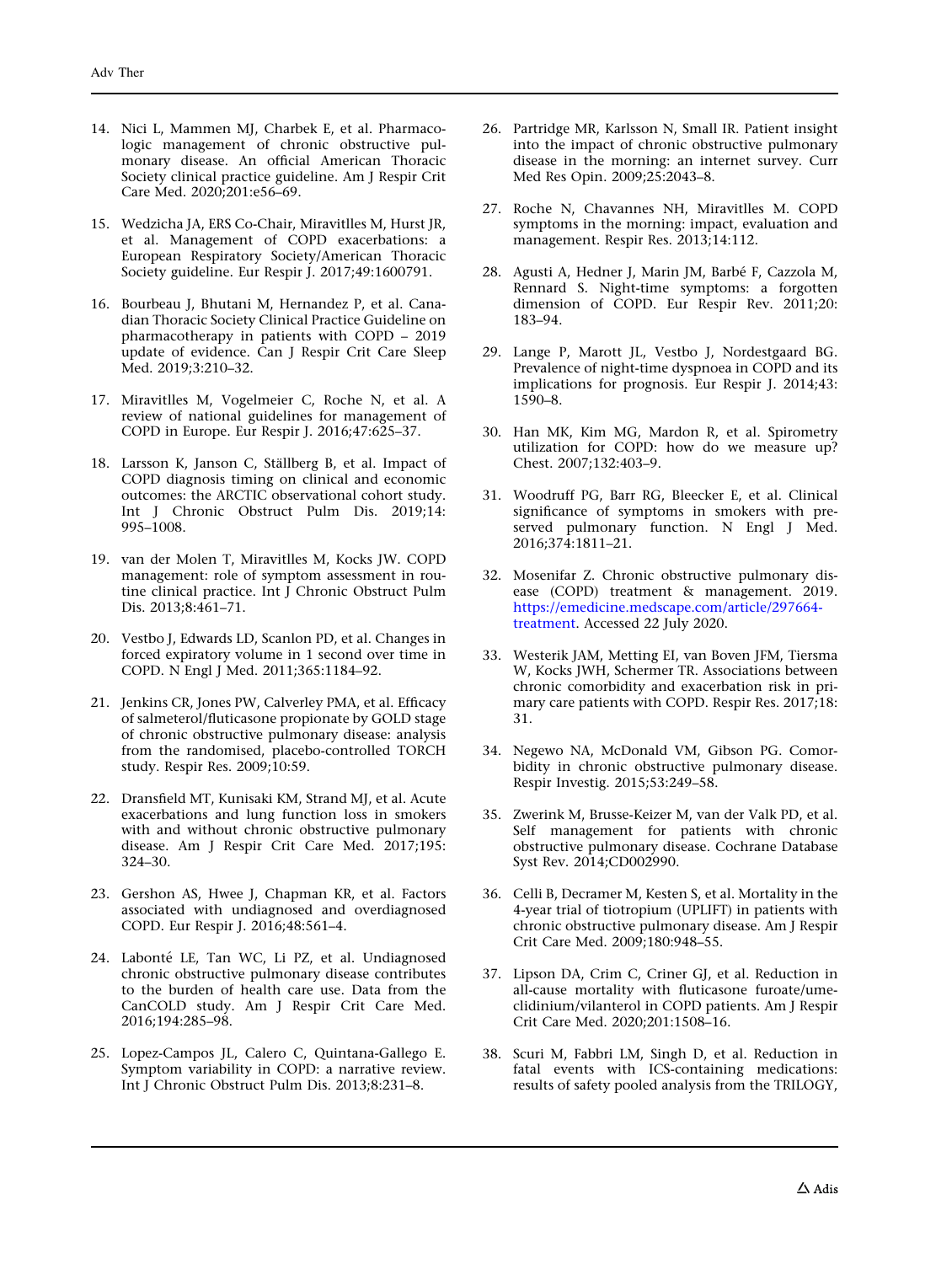- <span id="page-10-0"></span>14. Nici L, Mammen MJ, Charbek E, et al. Pharmacologic management of chronic obstructive pulmonary disease. An official American Thoracic Society clinical practice guideline. Am J Respir Crit Care Med. 2020;201:e56–69.
- 15. Wedzicha JA, ERS Co-Chair, Miravitlles M, Hurst JR, et al. Management of COPD exacerbations: a European Respiratory Society/American Thoracic Society guideline. Eur Respir J. 2017;49:1600791.
- 16. Bourbeau J, Bhutani M, Hernandez P, et al. Canadian Thoracic Society Clinical Practice Guideline on pharmacotherapy in patients with COPD – 2019 update of evidence. Can J Respir Crit Care Sleep Med. 2019;3:210–32.
- 17. Miravitlles M, Vogelmeier C, Roche N, et al. A review of national guidelines for management of COPD in Europe. Eur Respir J. 2016;47:625–37.
- 18. Larsson K, Janson C, Ställberg B, et al. Impact of COPD diagnosis timing on clinical and economic outcomes: the ARCTIC observational cohort study. Int J Chronic Obstruct Pulm Dis. 2019;14: 995–1008.
- 19. van der Molen T, Miravitlles M, Kocks JW. COPD management: role of symptom assessment in routine clinical practice. Int J Chronic Obstruct Pulm Dis. 2013;8:461–71.
- 20. Vestbo J, Edwards LD, Scanlon PD, et al. Changes in forced expiratory volume in 1 second over time in COPD. N Engl J Med. 2011;365:1184–92.
- 21. Jenkins CR, Jones PW, Calverley PMA, et al. Efficacy of salmeterol/fluticasone propionate by GOLD stage of chronic obstructive pulmonary disease: analysis from the randomised, placebo-controlled TORCH study. Respir Res. 2009;10:59.
- 22. Dransfield MT, Kunisaki KM, Strand MJ, et al. Acute exacerbations and lung function loss in smokers with and without chronic obstructive pulmonary disease. Am J Respir Crit Care Med. 2017;195: 324–30.
- 23. Gershon AS, Hwee J, Chapman KR, et al. Factors associated with undiagnosed and overdiagnosed COPD. Eur Respir J. 2016;48:561–4.
- 24. Labonté LE, Tan WC, Li PZ, et al. Undiagnosed chronic obstructive pulmonary disease contributes to the burden of health care use. Data from the CanCOLD study. Am J Respir Crit Care Med. 2016;194:285–98.
- 25. Lopez-Campos JL, Calero C, Quintana-Gallego E. Symptom variability in COPD: a narrative review. Int J Chronic Obstruct Pulm Dis. 2013;8:231–8.
- 26. Partridge MR, Karlsson N, Small IR. Patient insight into the impact of chronic obstructive pulmonary disease in the morning: an internet survey. Curr Med Res Opin. 2009;25:2043–8.
- 27. Roche N, Chavannes NH, Miravitlles M. COPD symptoms in the morning: impact, evaluation and management. Respir Res. 2013;14:112.
- 28. Agusti A, Hedner J, Marin JM, Barbé F, Cazzola M, Rennard S. Night-time symptoms: a forgotten dimension of COPD. Eur Respir Rev. 2011;20: 183–94.
- 29. Lange P, Marott JL, Vestbo J, Nordestgaard BG. Prevalence of night-time dyspnoea in COPD and its implications for prognosis. Eur Respir J. 2014;43: 1590–8.
- 30. Han MK, Kim MG, Mardon R, et al. Spirometry utilization for COPD: how do we measure up? Chest. 2007;132:403–9.
- 31. Woodruff PG, Barr RG, Bleecker E, et al. Clinical significance of symptoms in smokers with preserved pulmonary function. N Engl J Med. 2016;374:1811–21.
- 32. Mosenifar Z. Chronic obstructive pulmonary disease (COPD) treatment & management. 2019. [https://emedicine.medscape.com/article/297664](https://emedicine.medscape.com/article/297664-treatment) [treatment](https://emedicine.medscape.com/article/297664-treatment). Accessed 22 July 2020.
- 33. Westerik JAM, Metting EI, van Boven JFM, Tiersma W, Kocks JWH, Schermer TR. Associations between chronic comorbidity and exacerbation risk in primary care patients with COPD. Respir Res. 2017;18: 31.
- 34. Negewo NA, McDonald VM, Gibson PG. Comorbidity in chronic obstructive pulmonary disease. Respir Investig. 2015;53:249–58.
- 35. Zwerink M, Brusse-Keizer M, van der Valk PD, et al. Self management for patients with chronic obstructive pulmonary disease. Cochrane Database Syst Rev. 2014;CD002990.
- 36. Celli B, Decramer M, Kesten S, et al. Mortality in the 4-year trial of tiotropium (UPLIFT) in patients with chronic obstructive pulmonary disease. Am J Respir Crit Care Med. 2009;180:948–55.
- 37. Lipson DA, Crim C, Criner GJ, et al. Reduction in all-cause mortality with fluticasone furoate/umeclidinium/vilanterol in COPD patients. Am J Respir Crit Care Med. 2020;201:1508–16.
- 38. Scuri M, Fabbri LM, Singh D, et al. Reduction in fatal events with ICS-containing medications: results of safety pooled analysis from the TRILOGY,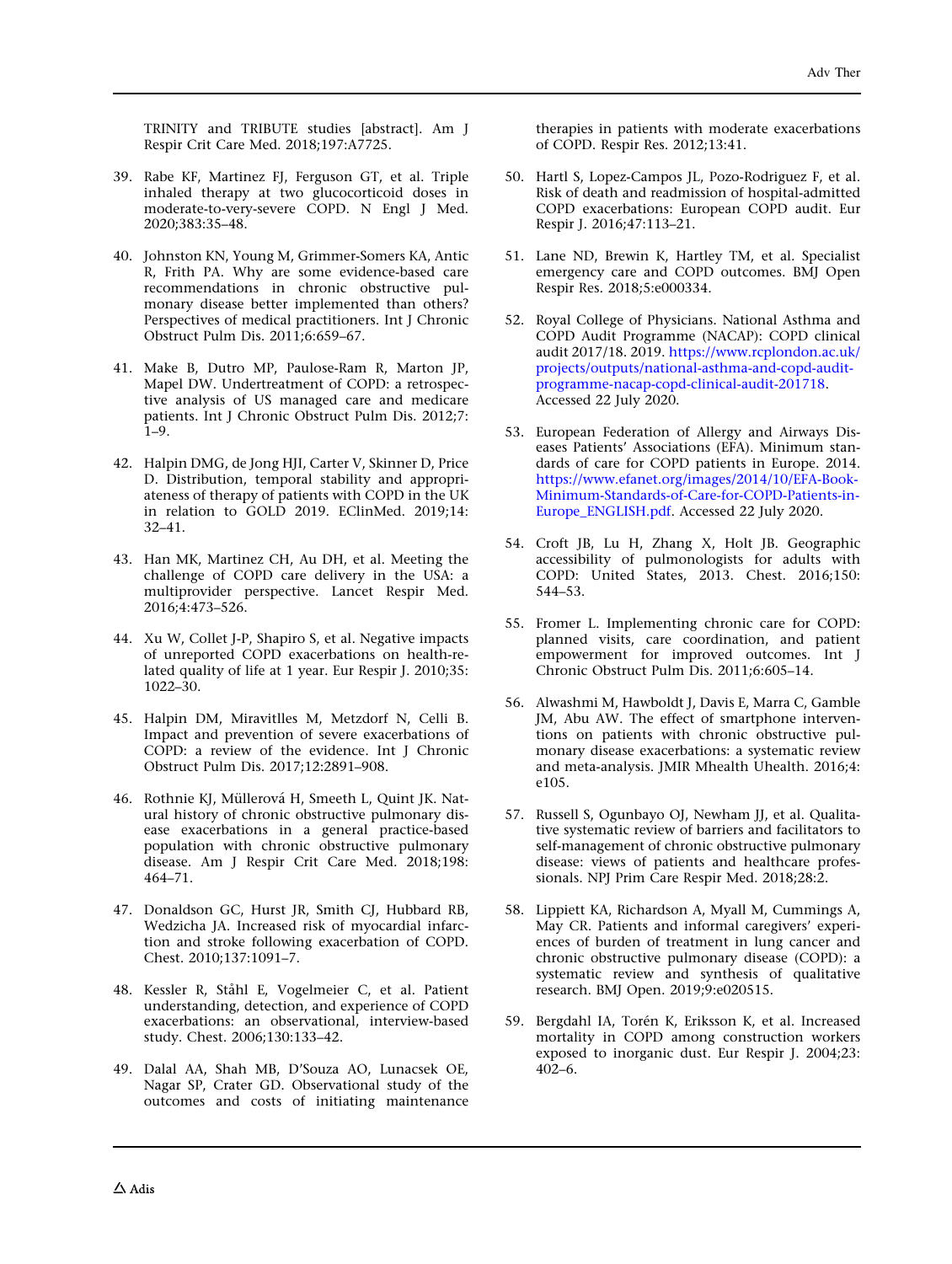<span id="page-11-0"></span>TRINITY and TRIBUTE studies [abstract]. Am J Respir Crit Care Med. 2018;197:A7725.

- 39. Rabe KF, Martinez FJ, Ferguson GT, et al. Triple inhaled therapy at two glucocorticoid doses in moderate-to-very-severe COPD. N Engl J Med. 2020;383:35–48.
- 40. Johnston KN, Young M, Grimmer-Somers KA, Antic R, Frith PA. Why are some evidence-based care recommendations in chronic obstructive pulmonary disease better implemented than others? Perspectives of medical practitioners. Int J Chronic Obstruct Pulm Dis. 2011;6:659–67.
- 41. Make B, Dutro MP, Paulose-Ram R, Marton JP, Mapel DW. Undertreatment of COPD: a retrospective analysis of US managed care and medicare patients. Int J Chronic Obstruct Pulm Dis. 2012;7: 1–9.
- 42. Halpin DMG, de Jong HJI, Carter V, Skinner D, Price D. Distribution, temporal stability and appropriateness of therapy of patients with COPD in the UK in relation to GOLD 2019. EClinMed. 2019;14: 32–41.
- 43. Han MK, Martinez CH, Au DH, et al. Meeting the challenge of COPD care delivery in the USA: a multiprovider perspective. Lancet Respir Med. 2016;4:473–526.
- 44. Xu W, Collet J-P, Shapiro S, et al. Negative impacts of unreported COPD exacerbations on health-related quality of life at 1 year. Eur Respir J. 2010;35: 1022–30.
- 45. Halpin DM, Miravitlles M, Metzdorf N, Celli B. Impact and prevention of severe exacerbations of COPD: a review of the evidence. Int J Chronic Obstruct Pulm Dis. 2017;12:2891–908.
- 46. Rothnie KJ, Müllerová H, Smeeth L, Quint JK. Natural history of chronic obstructive pulmonary disease exacerbations in a general practice-based population with chronic obstructive pulmonary disease. Am J Respir Crit Care Med. 2018;198: 464–71.
- 47. Donaldson GC, Hurst JR, Smith CJ, Hubbard RB, Wedzicha JA. Increased risk of myocardial infarction and stroke following exacerbation of COPD. Chest. 2010;137:1091–7.
- 48. Kessler R, Ståhl E, Vogelmeier C, et al. Patient understanding, detection, and experience of COPD exacerbations: an observational, interview-based study. Chest. 2006;130:133–42.
- 49. Dalal AA, Shah MB, D'Souza AO, Lunacsek OE, Nagar SP, Crater GD. Observational study of the outcomes and costs of initiating maintenance

therapies in patients with moderate exacerbations of COPD. Respir Res. 2012;13:41.

- 50. Hartl S, Lopez-Campos JL, Pozo-Rodriguez F, et al. Risk of death and readmission of hospital-admitted COPD exacerbations: European COPD audit. Eur Respir J. 2016;47:113–21.
- 51. Lane ND, Brewin K, Hartley TM, et al. Specialist emergency care and COPD outcomes. BMJ Open Respir Res. 2018;5:e000334.
- 52. Royal College of Physicians. National Asthma and COPD Audit Programme (NACAP): COPD clinical audit 2017/18. 2019. [https://www.rcplondon.ac.uk/](https://www.rcplondon.ac.uk/projects/outputs/national-asthma-and-copd-audit-programme-nacap-copd-clinical-audit-201718) [projects/outputs/national-asthma-and-copd-audit](https://www.rcplondon.ac.uk/projects/outputs/national-asthma-and-copd-audit-programme-nacap-copd-clinical-audit-201718)[programme-nacap-copd-clinical-audit-201718.](https://www.rcplondon.ac.uk/projects/outputs/national-asthma-and-copd-audit-programme-nacap-copd-clinical-audit-201718) Accessed 22 July 2020.
- 53. European Federation of Allergy and Airways Diseases Patients' Associations (EFA). Minimum standards of care for COPD patients in Europe. 2014. [https://www.efanet.org/images/2014/10/EFA-Book-](https://www.efanet.org/images/2014/10/EFA-Book-Minimum-Standards-of-Care-for-COPD-Patients-in-Europe_ENGLISH.pdf)[Minimum-Standards-of-Care-for-COPD-Patients-in-](https://www.efanet.org/images/2014/10/EFA-Book-Minimum-Standards-of-Care-for-COPD-Patients-in-Europe_ENGLISH.pdf)[Europe\\_ENGLISH.pdf.](https://www.efanet.org/images/2014/10/EFA-Book-Minimum-Standards-of-Care-for-COPD-Patients-in-Europe_ENGLISH.pdf) Accessed 22 July 2020.
- 54. Croft JB, Lu H, Zhang X, Holt JB. Geographic accessibility of pulmonologists for adults with COPD: United States, 2013. Chest. 2016;150: 544–53.
- 55. Fromer L. Implementing chronic care for COPD: planned visits, care coordination, and patient empowerment for improved outcomes. Int J Chronic Obstruct Pulm Dis. 2011;6:605–14.
- 56. Alwashmi M, Hawboldt J, Davis E, Marra C, Gamble JM, Abu AW. The effect of smartphone interventions on patients with chronic obstructive pulmonary disease exacerbations: a systematic review and meta-analysis. JMIR Mhealth Uhealth. 2016;4: e105.
- 57. Russell S, Ogunbayo OJ, Newham JJ, et al. Qualitative systematic review of barriers and facilitators to self-management of chronic obstructive pulmonary disease: views of patients and healthcare professionals. NPJ Prim Care Respir Med. 2018;28:2.
- 58. Lippiett KA, Richardson A, Myall M, Cummings A, May CR. Patients and informal caregivers' experiences of burden of treatment in lung cancer and chronic obstructive pulmonary disease (COPD): a systematic review and synthesis of qualitative research. BMJ Open. 2019;9:e020515.
- 59. Bergdahl IA, Torén K, Eriksson K, et al. Increased mortality in COPD among construction workers exposed to inorganic dust. Eur Respir J. 2004;23: 402–6.